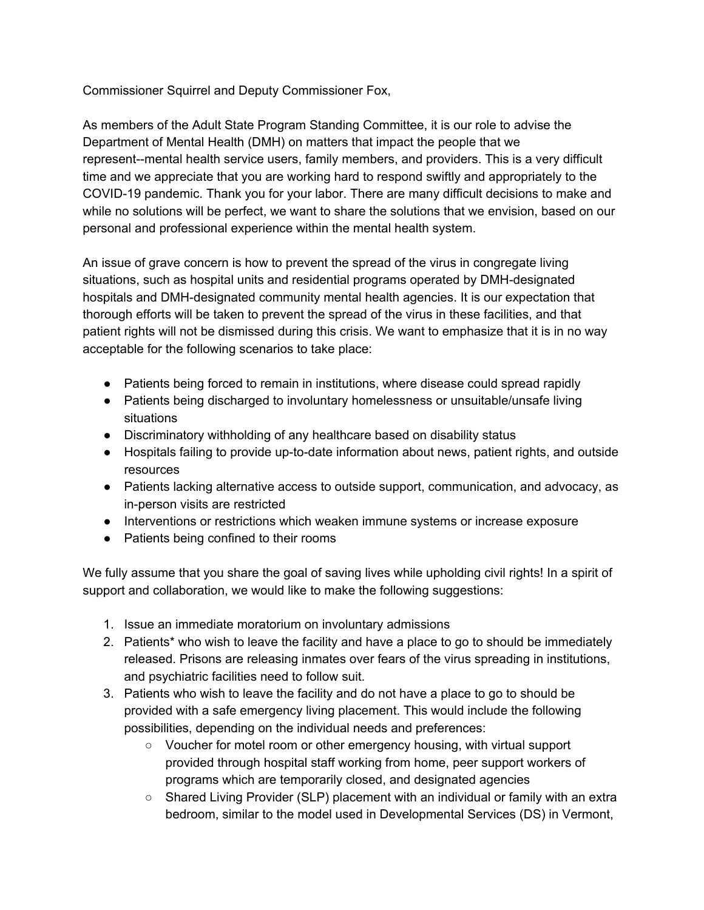Commissioner Squirrel and Deputy Commissioner Fox,

As members of the Adult State Program Standing Committee, it is our role to advise the Department of Mental Health (DMH) on matters that impact the people that we represent--mental health service users, family members, and providers. This is a very difficult time and we appreciate that you are working hard to respond swiftly and appropriately to the COVID-19 pandemic. Thank you for your labor. There are many difficult decisions to make and while no solutions will be perfect, we want to share the solutions that we envision, based on our personal and professional experience within the mental health system.

An issue of grave concern is how to prevent the spread of the virus in congregate living situations, such as hospital units and residential programs operated by DMH-designated hospitals and DMH-designated community mental health agencies. It is our expectation that thorough efforts will be taken to prevent the spread of the virus in these facilities, and that patient rights will not be dismissed during this crisis. We want to emphasize that it is in no way acceptable for the following scenarios to take place:

- Patients being forced to remain in institutions, where disease could spread rapidly
- Patients being discharged to involuntary homelessness or unsuitable/unsafe living situations
- Discriminatory withholding of any healthcare based on disability status
- Hospitals failing to provide up-to-date information about news, patient rights, and outside resources
- Patients lacking alternative access to outside support, communication, and advocacy, as in-person visits are restricted
- Interventions or restrictions which weaken immune systems or increase exposure
- Patients being confined to their rooms

We fully assume that you share the goal of saving lives while upholding civil rights! In a spirit of support and collaboration, we would like to make the following suggestions:

- 1. Issue an immediate moratorium on involuntary admissions
- 2. Patients\* who wish to leave the facility and have a place to go to should be immediately released. Prisons are releasing inmates over fears of the virus spreading in institutions, and psychiatric facilities need to follow suit.
- 3. Patients who wish to leave the facility and do not have a place to go to should be provided with a safe emergency living placement. This would include the following possibilities, depending on the individual needs and preferences:
	- Voucher for motel room or other emergency housing, with virtual support provided through hospital staff working from home, peer support workers of programs which are temporarily closed, and designated agencies
	- $\circ$  Shared Living Provider (SLP) placement with an individual or family with an extra bedroom, similar to the model used in Developmental Services (DS) in Vermont,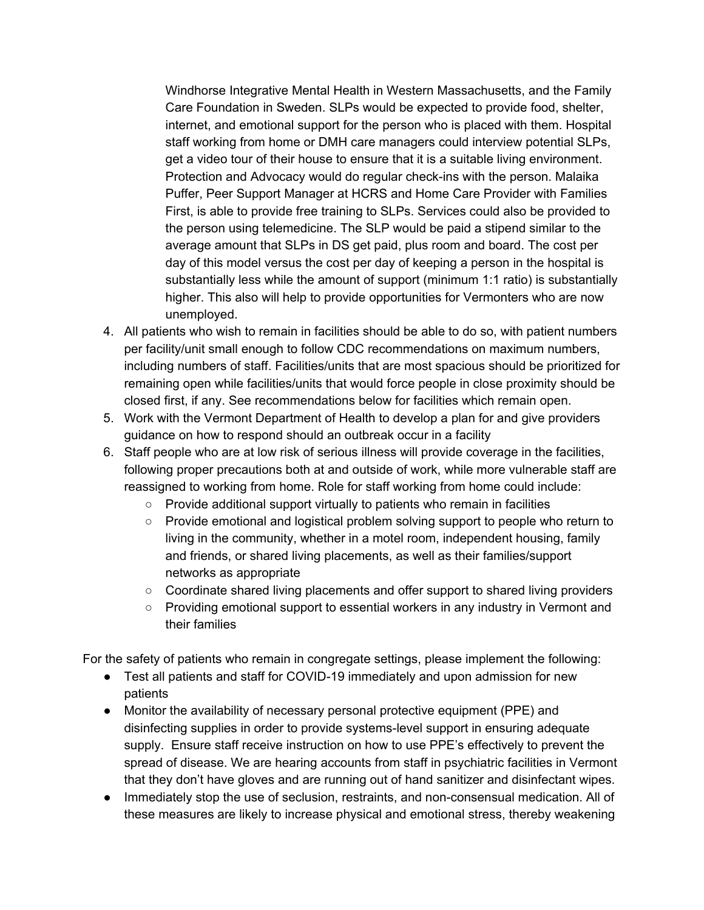Windhorse Integrative Mental Health in Western Massachusetts, and the Family Care Foundation in Sweden. SLPs would be expected to provide food, shelter, internet, and emotional support for the person who is placed with them. Hospital staff working from home or DMH care managers could interview potential SLPs, get a video tour of their house to ensure that it is a suitable living environment. Protection and Advocacy would do regular check-ins with the person. Malaika Puffer, Peer Support Manager at HCRS and Home Care Provider with Families First, is able to provide free training to SLPs. Services could also be provided to the person using telemedicine. The SLP would be paid a stipend similar to the average amount that SLPs in DS get paid, plus room and board. The cost per day of this model versus the cost per day of keeping a person in the hospital is substantially less while the amount of support (minimum 1:1 ratio) is substantially higher. This also will help to provide opportunities for Vermonters who are now unemployed.

- 4. All patients who wish to remain in facilities should be able to do so, with patient numbers per facility/unit small enough to follow CDC recommendations on maximum numbers, including numbers of staff. Facilities/units that are most spacious should be prioritized for remaining open while facilities/units that would force people in close proximity should be closed first, if any. See recommendations below for facilities which remain open.
- 5. Work with the Vermont Department of Health to develop a plan for and give providers guidance on how to respond should an outbreak occur in a facility
- 6. Staff people who are at low risk of serious illness will provide coverage in the facilities, following proper precautions both at and outside of work, while more vulnerable staff are reassigned to working from home. Role for staff working from home could include:
	- Provide additional support virtually to patients who remain in facilities
	- Provide emotional and logistical problem solving support to people who return to living in the community, whether in a motel room, independent housing, family and friends, or shared living placements, as well as their families/support networks as appropriate
	- Coordinate shared living placements and offer support to shared living providers
	- Providing emotional support to essential workers in any industry in Vermont and their families

For the safety of patients who remain in congregate settings, please implement the following:

- Test all patients and staff for COVID-19 immediately and upon admission for new patients
- Monitor the availability of necessary personal protective equipment (PPE) and disinfecting supplies in order to provide systems-level support in ensuring adequate supply. Ensure staff receive instruction on how to use PPE's effectively to prevent the spread of disease. We are hearing accounts from staff in psychiatric facilities in Vermont that they don't have gloves and are running out of hand sanitizer and disinfectant wipes.
- Immediately stop the use of seclusion, restraints, and non-consensual medication. All of these measures are likely to increase physical and emotional stress, thereby weakening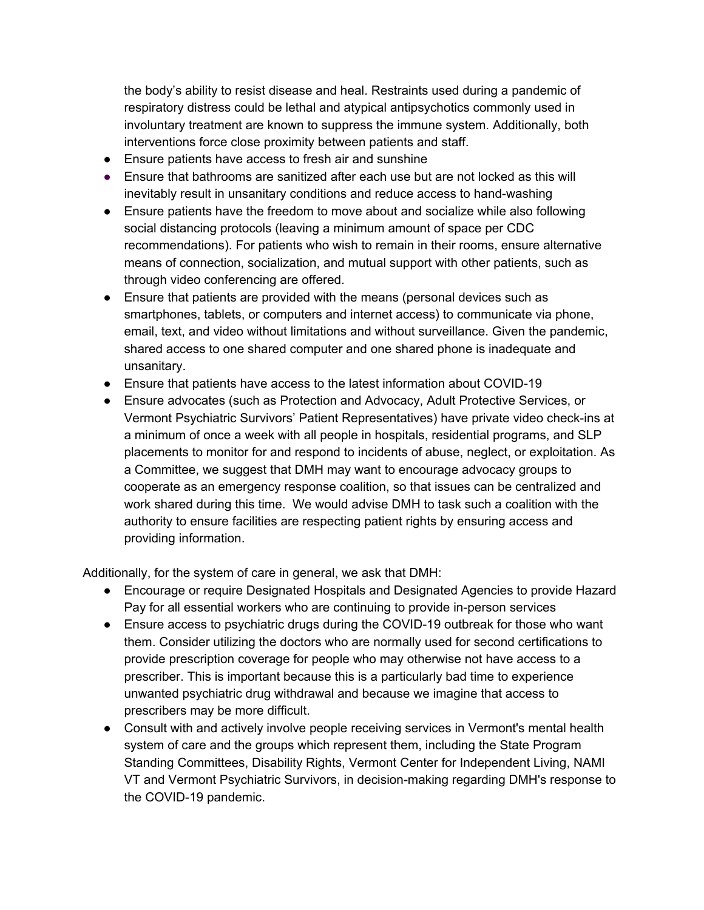the body's ability to resist disease and heal. Restraints used during a pandemic of respiratory distress could be lethal and atypical antipsychotics commonly used in involuntary treatment are known to suppress the immune system. Additionally, both interventions force close proximity between patients and staff.

- Ensure patients have access to fresh air and sunshine
- Ensure that bathrooms are sanitized after each use but are not locked as this will inevitably result in unsanitary conditions and reduce access to hand-washing
- Ensure patients have the freedom to move about and socialize while also following social distancing protocols (leaving a minimum amount of space per CDC recommendations). For patients who wish to remain in their rooms, ensure alternative means of connection, socialization, and mutual support with other patients, such as through video conferencing are offered.
- Ensure that patients are provided with the means (personal devices such as smartphones, tablets, or computers and internet access) to communicate via phone, email, text, and video without limitations and without surveillance. Given the pandemic, shared access to one shared computer and one shared phone is inadequate and unsanitary.
- Ensure that patients have access to the latest information about COVID-19
- Ensure advocates (such as Protection and Advocacy, Adult Protective Services, or Vermont Psychiatric Survivors' Patient Representatives) have private video check-ins at a minimum of once a week with all people in hospitals, residential programs, and SLP placements to monitor for and respond to incidents of abuse, neglect, or exploitation. As a Committee, we suggest that DMH may want to encourage advocacy groups to cooperate as an emergency response coalition, so that issues can be centralized and work shared during this time. We would advise DMH to task such a coalition with the authority to ensure facilities are respecting patient rights by ensuring access and providing information.

Additionally, for the system of care in general, we ask that DMH:

- Encourage or require Designated Hospitals and Designated Agencies to provide Hazard Pay for all essential workers who are continuing to provide in-person services
- Ensure access to psychiatric drugs during the COVID-19 outbreak for those who want them. Consider utilizing the doctors who are normally used for second certifications to provide prescription coverage for people who may otherwise not have access to a prescriber. This is important because this is a particularly bad time to experience unwanted psychiatric drug withdrawal and because we imagine that access to prescribers may be more difficult.
- Consult with and actively involve people receiving services in Vermont's mental health system of care and the groups which represent them, including the State Program Standing Committees, Disability Rights, Vermont Center for Independent Living, NAMI VT and Vermont Psychiatric Survivors, in decision-making regarding DMH's response to the COVID-19 pandemic.